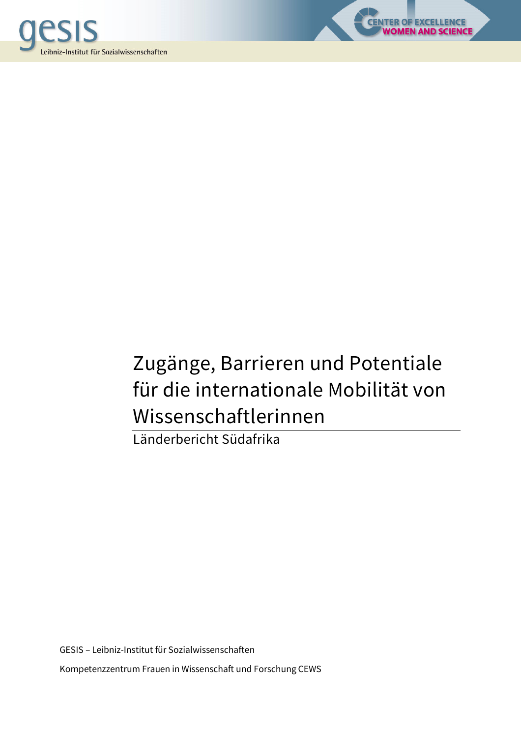



LENCE<br>SCIENCE

Länderbericht Südafrika

GESIS – Leibniz-Institut für Sozialwissenschaften Kompetenzzentrum Frauen in Wissenschaft und Forschung CEWS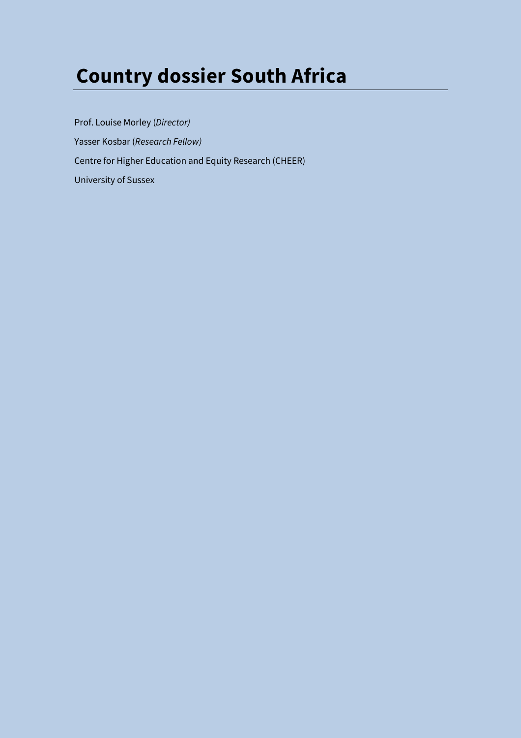# **Country dossier South Africa**

Prof. Louise Morley (*Director)*  Yasser Kosbar (*Research Fellow)*  Centre for Higher Education and Equity Research (CHEER) University of Sussex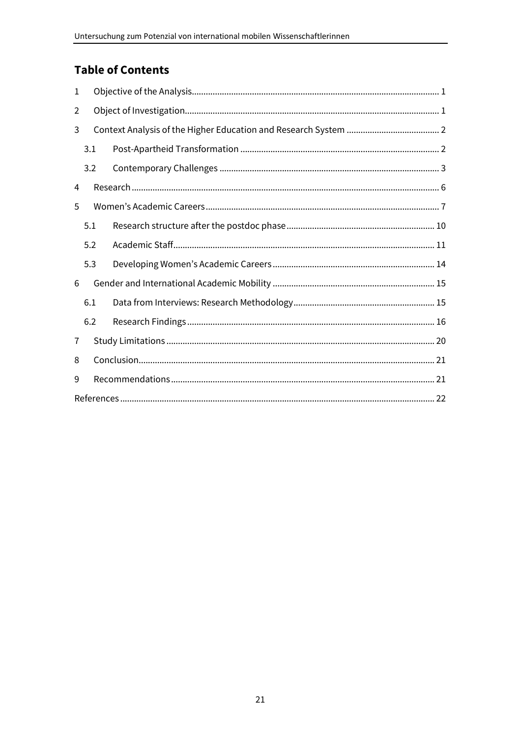# **Table of Contents**

| 1 |     |  |
|---|-----|--|
| 2 |     |  |
| 3 |     |  |
|   | 3.1 |  |
|   | 3.2 |  |
| 4 |     |  |
| 5 |     |  |
|   | 5.1 |  |
|   | 5.2 |  |
|   | 5.3 |  |
| 6 |     |  |
|   | 6.1 |  |
|   | 6.2 |  |
| 7 |     |  |
| 8 |     |  |
| 9 |     |  |
|   |     |  |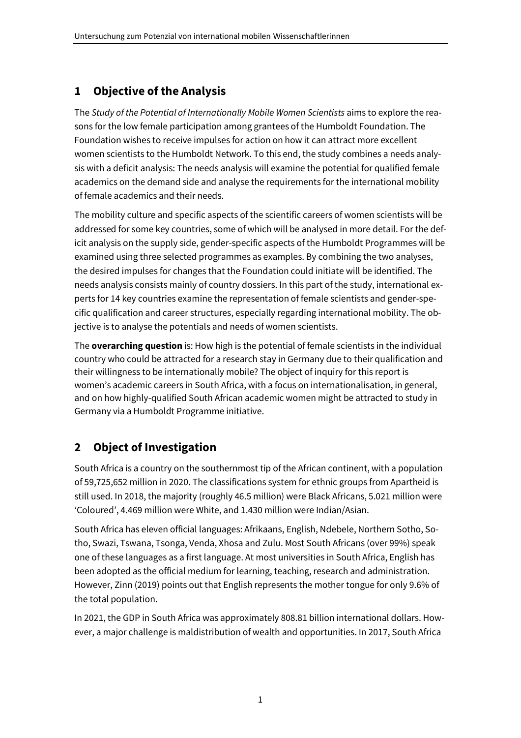# **1 Objective of the Analysis**

The *Study of the Potential of Internationally Mobile Women Scientists* aims to explore the reasons for the low female participation among grantees of the Humboldt Foundation. The Foundation wishes to receive impulses for action on how it can attract more excellent women scientists to the Humboldt Network. To this end, the study combines a needs analysis with a deficit analysis: The needs analysis will examine the potential for qualified female academics on the demand side and analyse the requirements for the international mobility of female academics and their needs.

The mobility culture and specific aspects of the scientific careers of women scientists will be addressed for some key countries, some of which will be analysed in more detail. For the deficit analysis on the supply side, gender-specific aspects of the Humboldt Programmes will be examined using three selected programmes as examples. By combining the two analyses, the desired impulses for changes that the Foundation could initiate will be identified. The needs analysis consists mainly of country dossiers. In this part of the study, international experts for 14 key countries examine the representation of female scientists and gender-specific qualification and career structures, especially regarding international mobility. The objective is to analyse the potentials and needs of women scientists.

The **overarching question** is: How high is the potential of female scientists in the individual country who could be attracted for a research stay in Germany due to their qualification and their willingness to be internationally mobile? The object of inquiry for this report is women's academic careers in South Africa, with a focus on internationalisation, in general, and on how highly-qualified South African academic women might be attracted to study in Germany via a Humboldt Programme initiative.

# **2 Object of Investigation**

South Africa is a country on the southernmost tip of the African continent, with a population of 59,725,652 million in 2020. The classifications system for ethnic groups from Apartheid is still used. In 2018, the majority (roughly 46.5 million) were Black Africans, 5.021 million were 'Coloured', 4.469 million were White, and 1.430 million were Indian/Asian.

South Africa has eleven official languages: Afrikaans, English, Ndebele, Northern Sotho, Sotho, Swazi, Tswana, Tsonga, Venda, Xhosa and Zulu. Most South Africans (over 99%) speak one of these languages as a first language. At most universities in South Africa, English has been adopted as the official medium for learning, teaching, research and administration. However, Zinn (2019) points out that English represents the mother tongue for only 9.6% of the total population.

In 2021, the GDP in South Africa was approximately 808.81 billion international dollars. However, a major challenge is maldistribution of wealth and opportunities. In 2017, South Africa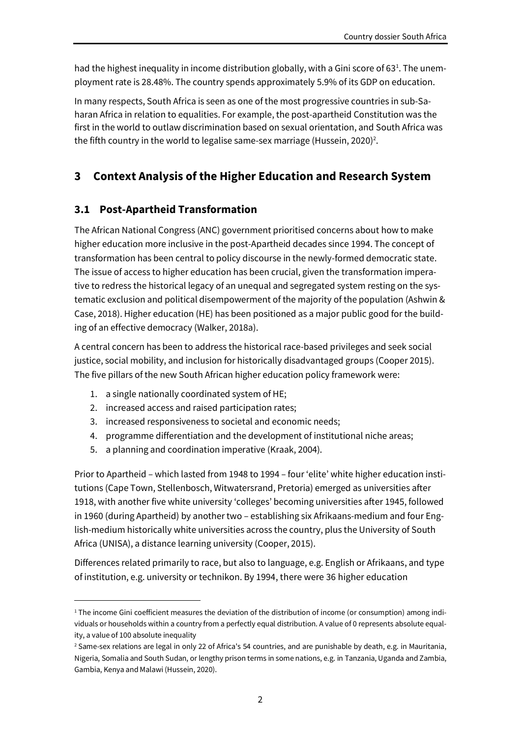had the highest inequality in income distribution globally, with a Gini score of 63<sup>1</sup>. The unemployment rate is 28.48%. The country spends approximately 5.9% of its GDP on education.

In many respects, South Africa is seen as one of the most progressive countries in sub-Saharan Africa in relation to equalities. For example, the post-apartheid Constitution was the first in the world to outlaw discrimination based on sexual orientation, and South Africa was the fifth country in the world to legalise same-sex marriage (Hussein, 2020)<sup>2</sup>.

# **3 Context Analysis of the Higher Education and Research System**

## **3.1 Post-Apartheid Transformation**

The African National Congress (ANC) government prioritised concerns about how to make higher education more inclusive in the post-Apartheid decades since 1994. The concept of transformation has been central to policy discourse in the newly-formed democratic state. The issue of access to higher education has been crucial, given the transformation imperative to redress the historical legacy of an unequal and segregated system resting on the systematic exclusion and political disempowerment of the majority of the population (Ashwin & Case, 2018). Higher education (HE) has been positioned as a major public good for the building of an effective democracy (Walker, 2018a).

A central concern has been to address the historical race-based privileges and seek social justice, social mobility, and inclusion for historically disadvantaged groups (Cooper 2015). The five pillars of the new South African higher education policy framework were:

- 1. a single nationally coordinated system of HE;
- 2. increased access and raised participation rates;
- 3. increased responsiveness to societal and economic needs;
- 4. programme differentiation and the development of institutional niche areas;
- 5. a planning and coordination imperative (Kraak, 2004).

Prior to Apartheid – which lasted from 1948 to 1994 – four 'elite' white higher education institutions (Cape Town, Stellenbosch, Witwatersrand, Pretoria) emerged as universities after 1918, with another five white university 'colleges' becoming universities after 1945, followed in 1960 (during Apartheid) by another two – establishing six Afrikaans-medium and four English-medium historically white universities across the country, plus the University of South Africa (UNISA), a distance learning university (Cooper, 2015).

Differences related primarily to race, but also to language, e.g. English or Afrikaans, and type of institution, e.g. university or technikon. By 1994, there were 36 higher education

<sup>1</sup> The income Gini coefficient measures the deviation of the distribution of income (or consumption) among individuals or households within a country from a perfectly equal distribution. A value of 0 represents absolute equality, a value of 100 absolute inequality

<sup>2</sup> Same-sex relations are legal in only 22 of Africa's 54 countries, and are punishable by death, e.g. in Mauritania, Nigeria, Somalia and South Sudan, or lengthy prison terms in some nations, e.g. in Tanzania, Uganda and Zambia, Gambia, Kenya and Malawi (Hussein, 2020).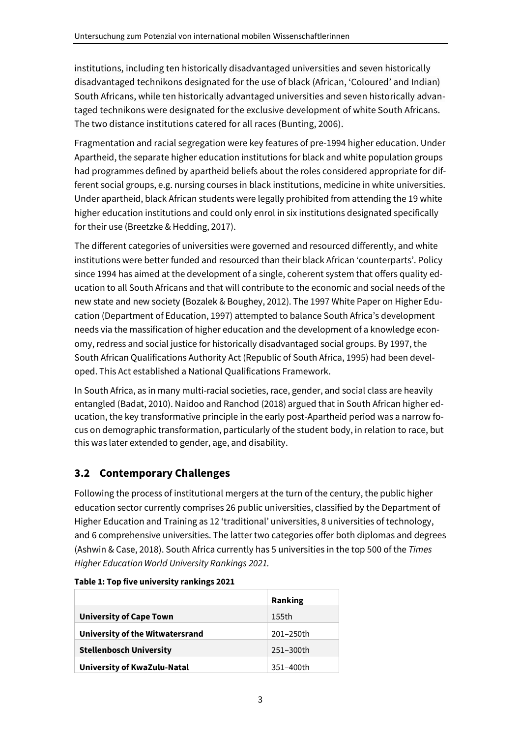institutions, including ten historically disadvantaged universities and seven historically disadvantaged technikons designated for the use of black (African, 'Coloured' and Indian) South Africans, while ten historically advantaged universities and seven historically advantaged technikons were designated for the exclusive development of white South Africans. The two distance institutions catered for all races (Bunting, 2006).

Fragmentation and racial segregation were key features of pre-1994 higher education. Under Apartheid, the separate higher education institutions for black and white population groups had programmes defined by apartheid beliefs about the roles considered appropriate for different social groups, e.g. nursing courses in black institutions, medicine in white universities. Under apartheid, black African students were legally prohibited from attending the 19 white higher education institutions and could only enrol in six institutions designated specifically for their use (Breetzke & Hedding, 2017).

The different categories of universities were governed and resourced differently, and white institutions were better funded and resourced than their black African 'counterparts'. Policy since 1994 has aimed at the development of a single, coherent system that offers quality education to all South Africans and that will contribute to the economic and social needs of the new state and new society **(**Bozalek & Boughey, 2012). The 1997 White Paper on Higher Education (Department of Education, 1997) attempted to balance South Africa's development needs via the massification of higher education and the development of a knowledge economy, redress and social justice for historically disadvantaged social groups. By 1997, the South African Qualifications Authority Act (Republic of South Africa, 1995) had been developed. This Act established a National Qualifications Framework.

In South Africa, as in many multi-racial societies, race, gender, and social class are heavily entangled (Badat, 2010). Naidoo and Ranchod (2018) argued that in South African higher education, the key transformative principle in the early post-Apartheid period was a narrow focus on demographic transformation, particularly of the student body, in relation to race, but this was later extended to gender, age, and disability.

# **3.2 Contemporary Challenges**

Following the process of institutional mergers at the turn of the century, the public higher education sector currently comprises 26 public universities, classified by the Department of Higher Education and Training as 12 'traditional' universities, 8 universities of technology, and 6 comprehensive universities. The latter two categories offer both diplomas and degrees (Ashwin & Case, 2018). South Africa currently has 5 universities in the top 500 of the *Times Higher Education World University Rankings 2021.*

|                                 | Ranking   |
|---------------------------------|-----------|
| <b>University of Cape Town</b>  | 155th     |
| University of the Witwatersrand | 201-250th |
| <b>Stellenbosch University</b>  | 251-300th |
| University of KwaZulu-Natal     | 351-400th |

#### **Table 1: Top five university rankings 2021**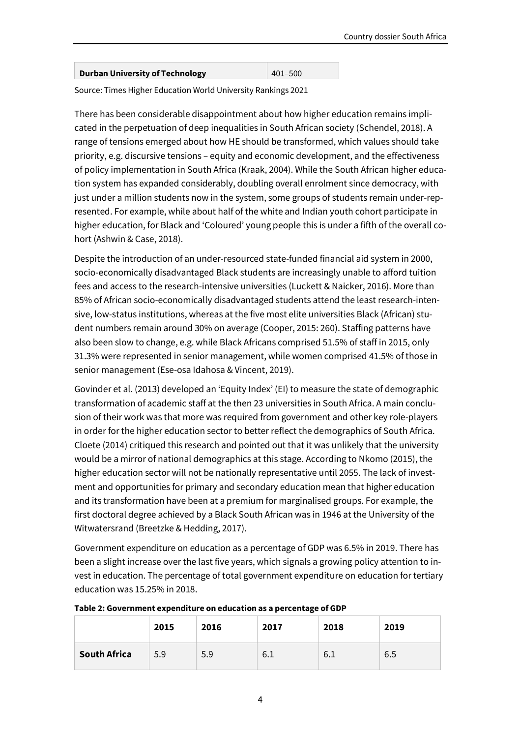| <b>Durban University of Technology</b> | 401–500 |
|----------------------------------------|---------|
|                                        |         |

Source: Times Higher Education World University Rankings 2021

There has been considerable disappointment about how higher education remains implicated in the perpetuation of deep inequalities in South African society (Schendel, 2018). A range of tensions emerged about how HE should be transformed, which values should take priority, e.g. discursive tensions – equity and economic development, and the effectiveness of policy implementation in South Africa (Kraak, 2004). While the South African higher education system has expanded considerably, doubling overall enrolment since democracy, with just under a million students now in the system, some groups of students remain under-represented. For example, while about half of the white and Indian youth cohort participate in higher education, for Black and 'Coloured' young people this is under a fifth of the overall cohort (Ashwin & Case, 2018).

Despite the introduction of an under-resourced state-funded financial aid system in 2000, socio-economically disadvantaged Black students are increasingly unable to afford tuition fees and access to the research-intensive universities (Luckett & Naicker, 2016). More than 85% of African socio-economically disadvantaged students attend the least research-intensive, low-status institutions, whereas at the five most elite universities Black (African) student numbers remain around 30% on average (Cooper, 2015: 260). Staffing patterns have also been slow to change, e.g. while Black Africans comprised 51.5% of staff in 2015, only 31.3% were represented in senior management, while women comprised 41.5% of those in senior management (Ese-osa Idahosa & Vincent, 2019).

Govinder et al. (2013) developed an 'Equity Index' (EI) to measure the state of demographic transformation of academic staff at the then 23 universities in South Africa. A main conclusion of their work was that more was required from government and other key role-players in order for the higher education sector to better reflect the demographics of South Africa. Cloete (2014) critiqued this research and pointed out that it was unlikely that the university would be a mirror of national demographics at this stage. According to Nkomo (2015), the higher education sector will not be nationally representative until 2055. The lack of investment and opportunities for primary and secondary education mean that higher education and its transformation have been at a premium for marginalised groups. For example, the first doctoral degree achieved by a Black South African was in 1946 at the University of the Witwatersrand (Breetzke & Hedding, 2017).

Government expenditure on education as a percentage of GDP was 6.5% in 2019. There has been a slight increase over the last five years, which signals a growing policy attention to invest in education. The percentage of total government expenditure on education for tertiary education was 15.25% in 2018.

|                     | 2015 | 2016 | 2017 | 2018 | 2019 |
|---------------------|------|------|------|------|------|
| <b>South Africa</b> | 5.9  | 5.9  | 6.1  | 6.1  | 6.5  |

**Table 2: Government expenditure on education as a percentage of GDP**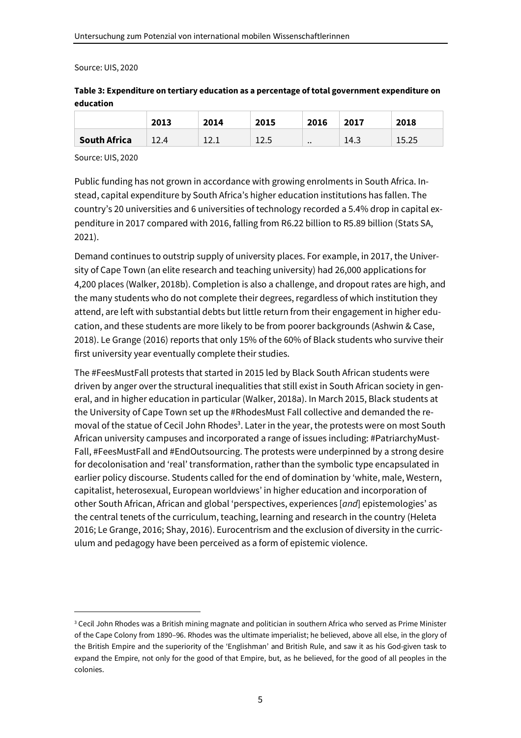#### Source: UIS, 2020

| education |      |      |      |      |      |      |  |  |  |  |
|-----------|------|------|------|------|------|------|--|--|--|--|
|           | 2013 | 2014 | 2015 | 2016 | 2017 | 2018 |  |  |  |  |

**South Africa** 12.4 12.1 12.5 .. 14.3 15.25

# **Table 3: Expenditure on tertiary education as a percentage of total government expenditure on**

Source: UIS, 2020

Public funding has not grown in accordance with growing enrolments in South Africa. Instead, capital expenditure by South Africa's higher education institutions has fallen. The country's 20 universities and 6 universities of technology recorded a 5.4% drop in capital expenditure in 2017 compared with 2016, falling from R6.22 billion to R5.89 billion (Stats SA, 2021).

Demand continues to outstrip supply of university places. For example, in 2017, the University of Cape Town (an elite research and teaching university) had 26,000 applications for 4,200 places (Walker, 2018b). Completion is also a challenge, and dropout rates are high, and the many students who do not complete their degrees, regardless of which institution they attend, are left with substantial debts but little return from their engagement in higher education, and these students are more likely to be from poorer backgrounds (Ashwin & Case, 2018). Le Grange (2016) reports that only 15% of the 60% of Black students who survive their first university year eventually complete their studies.

The #FeesMustFall protests that started in 2015 led by Black South African students were driven by anger over the structural inequalities that still exist in South African society in general, and in higher education in particular (Walker, 2018a). In March 2015, Black students at the University of Cape Town set up the #RhodesMust Fall collective and demanded the removal of the statue of Cecil John Rhodes<sup>3</sup>. Later in the year, the protests were on most South African university campuses and incorporated a range of issues including: #PatriarchyMust-Fall, #FeesMustFall and #EndOutsourcing. The protests were underpinned by a strong desire for decolonisation and 'real' transformation, rather than the symbolic type encapsulated in earlier policy discourse. Students called for the end of domination by 'white, male, Western, capitalist, heterosexual, European worldviews' in higher education and incorporation of other South African, African and global 'perspectives, experiences [*and*] epistemologies' as the central tenets of the curriculum, teaching, learning and research in the country (Heleta 2016; Le Grange, 2016; Shay, 2016). Eurocentrism and the exclusion of diversity in the curriculum and pedagogy have been perceived as a form of epistemic violence.

<sup>3</sup> Cecil John Rhodes was a British mining magnate and politician in southern Africa who served as Prime Minister of the Cape Colony from 1890–96. Rhodes was the ultimate imperialist; he believed, above all else, in the glory of the British Empire and the superiority of the 'Englishman' and British Rule, and saw it as his God-given task to expand the Empire, not only for the good of that Empire, but, as he believed, for the good of all peoples in the colonies.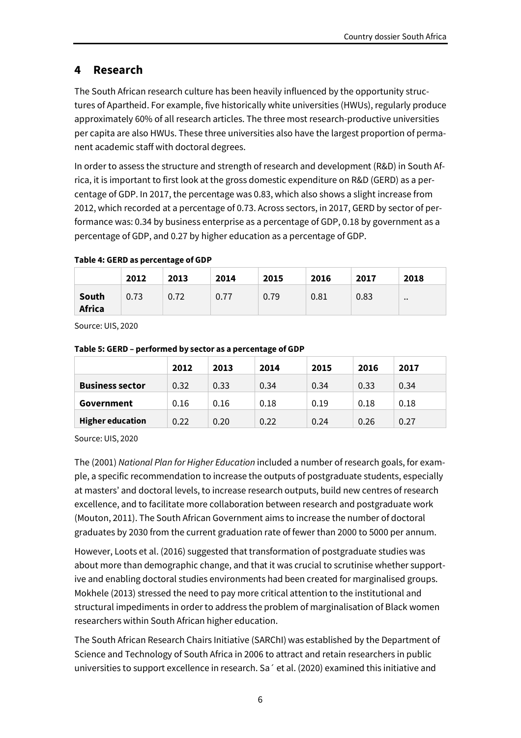# **4 Research**

The South African research culture has been heavily influenced by the opportunity structures of Apartheid. For example, five historically white universities (HWUs), regularly produce approximately 60% of all research articles. The three most research-productive universities per capita are also HWUs. These three universities also have the largest proportion of permanent academic staff with doctoral degrees.

In order to assess the structure and strength of research and development (R&D) in South Africa, it is important to first look at the gross domestic expenditure on R&D (GERD) as a percentage of GDP. In 2017, the percentage was 0.83, which also shows a slight increase from 2012, which recorded at a percentage of 0.73. Across sectors, in 2017, GERD by sector of performance was: 0.34 by business enterprise as a percentage of GDP, 0.18 by government as a percentage of GDP, and 0.27 by higher education as a percentage of GDP.

|                        | 2012 | 2013 | 2014 | 2015 | 2016 | 2017 | 2018          |
|------------------------|------|------|------|------|------|------|---------------|
| South<br><b>Africa</b> | 0.73 | 0.72 | 0.77 | 0.79 | 0.81 | 0.83 | $\cdot \cdot$ |

#### **Table 4: GERD as percentage of GDP**

Source: UIS, 2020

|                         | 2012 | 2013 | 2014 | 2015 | 2016 | 2017 |
|-------------------------|------|------|------|------|------|------|
| <b>Business sector</b>  | 0.32 | 0.33 | 0.34 | 0.34 | 0.33 | 0.34 |
| Government              | 0.16 | 0.16 | 0.18 | 0.19 | 0.18 | 0.18 |
| <b>Higher education</b> | 0.22 | 0.20 | 0.22 | 0.24 | 0.26 | 0.27 |

#### **Table 5: GERD – performed by sector as a percentage of GDP**

Source: UIS, 2020

The (2001) *National Plan for Higher Education* included a number of research goals, for example, a specific recommendation to increase the outputs of postgraduate students, especially at masters' and doctoral levels, to increase research outputs, build new centres of research excellence, and to facilitate more collaboration between research and postgraduate work (Mouton, 2011). The South African Government aims to increase the number of doctoral graduates by 2030 from the current graduation rate of fewer than 2000 to 5000 per annum.

However, Loots et al. (2016) suggested that transformation of postgraduate studies was about more than demographic change, and that it was crucial to scrutinise whether supportive and enabling doctoral studies environments had been created for marginalised groups. Mokhele (2013) stressed the need to pay more critical attention to the institutional and structural impediments in order to address the problem of marginalisation of Black women researchers within South African higher education.

The South African Research Chairs Initiative (SARChI) was established by the Department of Science and Technology of South Africa in 2006 to attract and retain researchers in public universities to support excellence in research. Sa´ et al. (2020) examined this initiative and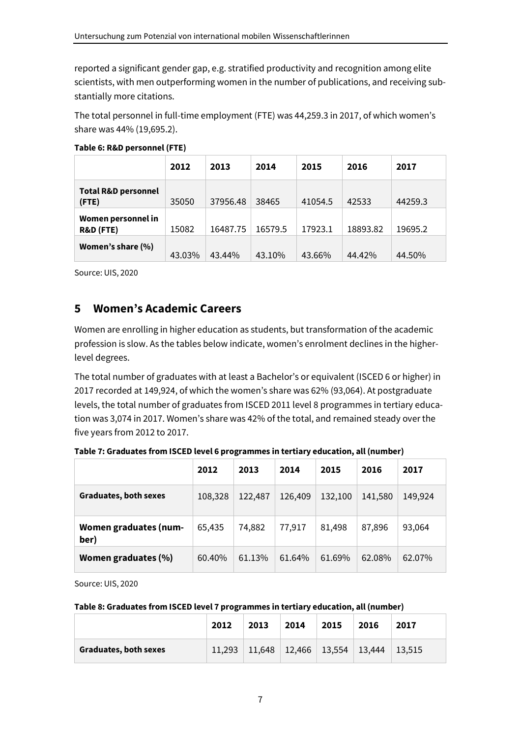reported a significant gender gap, e.g. stratified productivity and recognition among elite scientists, with men outperforming women in the number of publications, and receiving substantially more citations.

The total personnel in full-time employment (FTE) was 44,259.3 in 2017, of which women's share was 44% (19,695.2).

|                                         | 2012   | 2013     | 2014    | 2015    | 2016     | 2017    |
|-----------------------------------------|--------|----------|---------|---------|----------|---------|
| <b>Total R&amp;D personnel</b><br>(FTE) | 35050  | 37956.48 | 38465   | 41054.5 | 42533    | 44259.3 |
| Women personnel in<br>R&D (FTE)         | 15082  | 16487.75 | 16579.5 | 17923.1 | 18893.82 | 19695.2 |
| Women's share (%)                       | 43.03% | 43.44%   | 43.10%  | 43.66%  | 44.42%   | 44.50%  |

#### **Table 6: R&D personnel (FTE)**

Source: UIS, 2020

# **5 Women's Academic Careers**

Women are enrolling in higher education as students, but transformation of the academic profession is slow. As the tables below indicate, women's enrolment declines in the higherlevel degrees.

The total number of graduates with at least a Bachelor's or equivalent (ISCED 6 or higher) in 2017 recorded at 149,924, of which the women's share was 62% (93,064). At postgraduate levels, the total number of graduates from ISCED 2011 level 8 programmes in tertiary education was 3,074 in 2017. Women's share was 42% of the total, and remained steady over the five years from 2012 to 2017.

**Table 7: Graduates from ISCED level 6 programmes in tertiary education, all (number)** 

|                                      | 2012    | 2013    | 2014    | 2015    | 2016    | 2017    |
|--------------------------------------|---------|---------|---------|---------|---------|---------|
| <b>Graduates, both sexes</b>         | 108,328 | 122,487 | 126,409 | 132,100 | 141,580 | 149,924 |
| <b>Women graduates (num-</b><br>ber) | 65,435  | 74,882  | 77,917  | 81,498  | 87,896  | 93,064  |
| Women graduates (%)                  | 60.40%  | 61.13%  | 61.64%  | 61.69%  | 62.08%  | 62.07%  |

Source: UIS, 2020

#### **Table 8: Graduates from ISCED level 7 programmes in tertiary education, all (number)**

|                       | 2012   | 2013 | 2014 | 2015                                                    | 2016 | 2017           |
|-----------------------|--------|------|------|---------------------------------------------------------|------|----------------|
| Graduates, both sexes | 11.293 |      |      | $\mid$ 11,648 $\mid$ 12,466 $\mid$ 13,554 $\mid$ 13,444 |      | $\perp$ 13.515 |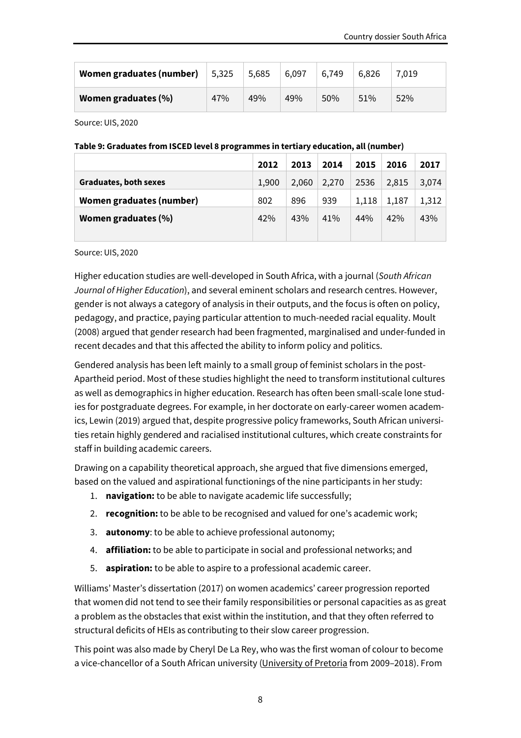| Women graduates (number)   | 5,325 | 5,685 | 6,097 | 6,749 | 6.826 | 7,019 |
|----------------------------|-------|-------|-------|-------|-------|-------|
| <b>Women graduates (%)</b> | 47%   | 49%   | 49%   | 50%   | 51%   | 52%   |

Source: UIS, 2020

#### **Table 9: Graduates from ISCED level 8 programmes in tertiary education, all (number)**

|                              | 2012  | 2013  | 2014  | 2015  | 2016  | 2017  |
|------------------------------|-------|-------|-------|-------|-------|-------|
| <b>Graduates, both sexes</b> | 1,900 | 2,060 | 2,270 | 2536  | 2,815 | 3,074 |
| Women graduates (number)     | 802   | 896   | 939   | 1,118 | 1,187 | 1,312 |
| Women graduates (%)          | 42%   | 43%   | 41%   | 44%   | 42%   | 43%   |
|                              |       |       |       |       |       |       |

Source: UIS, 2020

Higher education studies are well-developed in South Africa, with a journal (*South African Journal of Higher Education*), and several eminent scholars and research centres. However, gender is not always a category of analysis in their outputs, and the focus is often on policy, pedagogy, and practice, paying particular attention to much-needed racial equality. Moult (2008) argued that gender research had been fragmented, marginalised and under-funded in recent decades and that this affected the ability to inform policy and politics.

Gendered analysis has been left mainly to a small group of feminist scholars in the post-Apartheid period. Most of these studies highlight the need to transform institutional cultures as well as demographics in higher education. Research has often been small-scale lone studies for postgraduate degrees. For example, in her doctorate on early-career women academics, Lewin (2019) argued that, despite progressive policy frameworks, South African universities retain highly gendered and racialised institutional cultures, which create constraints for staff in building academic careers.

Drawing on a capability theoretical approach, she argued that five dimensions emerged, based on the valued and aspirational functionings of the nine participants in her study:

- 1. **navigation:** to be able to navigate academic life successfully;
- 2. **recognition:** to be able to be recognised and valued for one's academic work;
- 3. **autonomy**: to be able to achieve professional autonomy;
- 4. **affiliation:** to be able to participate in social and professional networks; and
- 5. **aspiration:** to be able to aspire to a professional academic career.

Williams' Master's dissertation (2017) on women academics' career progression reported that women did not tend to see their family responsibilities or personal capacities as as great a problem as the obstacles that exist within the institution, and that they often referred to structural deficits of HEIs as contributing to their slow career progression.

This point was also made by Cheryl De La Rey, who was the first woman of colour to become a vice-chancellor of a South African university (University of Pretoria from 2009–2018). From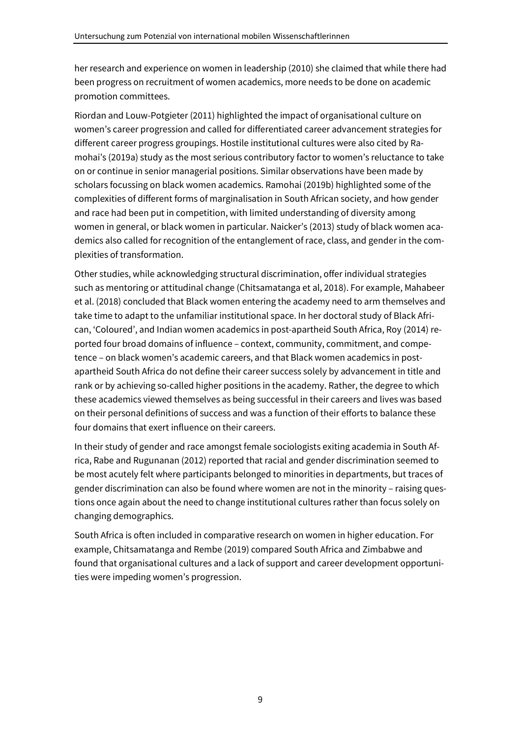her research and experience on women in leadership (2010) she claimed that while there had been progress on recruitment of women academics, more needs to be done on academic promotion committees.

Riordan and Louw-Potgieter (2011) highlighted the impact of organisational culture on women's career progression and called for differentiated career advancement strategies for different career progress groupings. Hostile institutional cultures were also cited by Ramohai's (2019a) study as the most serious contributory factor to women's reluctance to take on or continue in senior managerial positions. Similar observations have been made by scholars focussing on black women academics. Ramohai (2019b) highlighted some of the complexities of different forms of marginalisation in South African society, and how gender and race had been put in competition, with limited understanding of diversity among women in general, or black women in particular. Naicker's (2013) study of black women academics also called for recognition of the entanglement of race, class, and gender in the complexities of transformation.

Other studies, while acknowledging structural discrimination, offer individual strategies such as mentoring or attitudinal change (Chitsamatanga et al, 2018). For example, Mahabeer et al. (2018) concluded that Black women entering the academy need to arm themselves and take time to adapt to the unfamiliar institutional space. In her doctoral study of Black African, 'Coloured', and Indian women academics in post-apartheid South Africa, Roy (2014) reported four broad domains of influence – context, community, commitment, and competence – on black women's academic careers, and that Black women academics in postapartheid South Africa do not define their career success solely by advancement in title and rank or by achieving so-called higher positions in the academy. Rather, the degree to which these academics viewed themselves as being successful in their careers and lives was based on their personal definitions of success and was a function of their efforts to balance these four domains that exert influence on their careers.

In their study of gender and race amongst female sociologists exiting academia in South Africa, Rabe and Rugunanan (2012) reported that racial and gender discrimination seemed to be most acutely felt where participants belonged to minorities in departments, but traces of gender discrimination can also be found where women are not in the minority – raising questions once again about the need to change institutional cultures rather than focus solely on changing demographics.

South Africa is often included in comparative research on women in higher education. For example, Chitsamatanga and Rembe (2019) compared South Africa and Zimbabwe and found that organisational cultures and a lack of support and career development opportunities were impeding women's progression.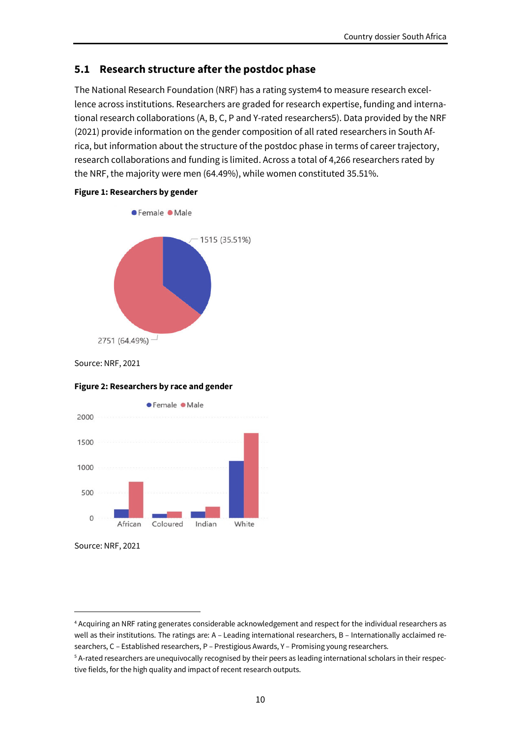## **5.1 Research structure after the postdoc phase**

The National Research Foundation (NRF) has a rating system4 to measure research excellence across institutions. Researchers are graded for research expertise, funding and international research collaborations (A, B, C, P and Y-rated researchers5). Data provided by the NRF (2021) provide information on the gender composition of all rated researchers in South Africa, but information about the structure of the postdoc phase in terms of career trajectory, research collaborations and funding is limited. Across a total of 4,266 researchers rated by the NRF, the majority were men (64.49%), while women constituted 35.51%.





Source: NRF, 2021

#### **Figure 2: Researchers by race and gender**



Source: NRF, 2021

<sup>4</sup> Acquiring an NRF rating generates considerable acknowledgement and respect for the individual researchers as well as their institutions. The ratings are: A – Leading international researchers, B – Internationally acclaimed researchers, C – Established researchers, P – Prestigious Awards, Y – Promising young researchers.

<sup>5</sup> A-rated researchers are unequivocally recognised by their peers as leading international scholars in their respective fields, for the high quality and impact of recent research outputs.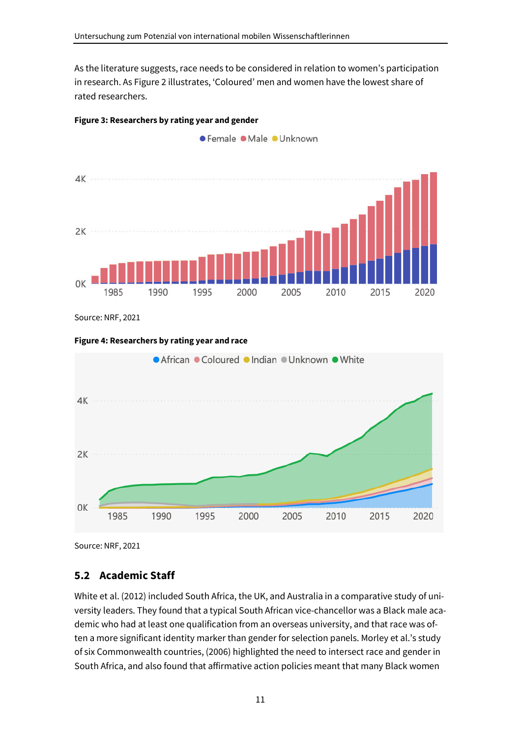As the literature suggests, race needs to be considered in relation to women's participation in research. As Figure 2 illustrates, 'Coloured' men and women have the lowest share of rated researchers.

● Female ● Male ● Unknown



### **Figure 3: Researchers by rating year and gender**

Source: NRF, 2021

#### **Figure 4: Researchers by rating year and race**



Source: NRF, 2021

## **5.2 Academic Staff**

White et al. (2012) included South Africa, the UK, and Australia in a comparative study of university leaders. They found that a typical South African vice-chancellor was a Black male academic who had at least one qualification from an overseas university, and that race was often a more significant identity marker than gender for selection panels. Morley et al.'s study of six Commonwealth countries, (2006) highlighted the need to intersect race and gender in South Africa, and also found that affirmative action policies meant that many Black women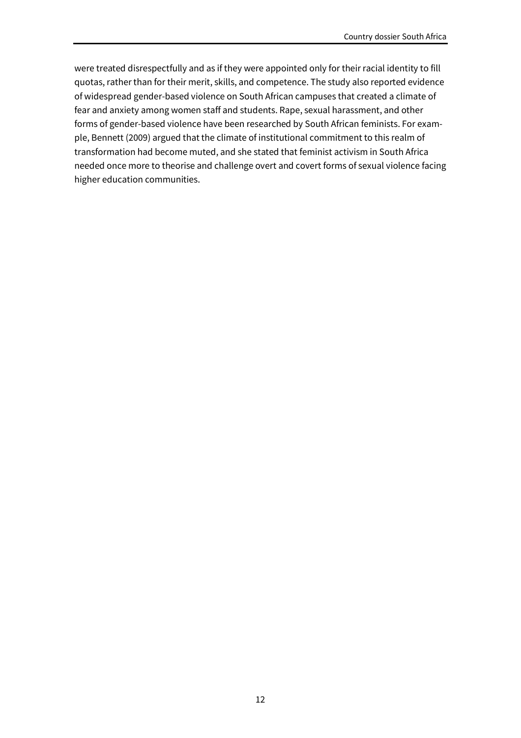were treated disrespectfully and as if they were appointed only for their racial identity to fill quotas, rather than for their merit, skills, and competence. The study also reported evidence of widespread gender-based violence on South African campuses that created a climate of fear and anxiety among women staff and students. Rape, sexual harassment, and other forms of gender-based violence have been researched by South African feminists. For example, Bennett (2009) argued that the climate of institutional commitment to this realm of transformation had become muted, and she stated that feminist activism in South Africa needed once more to theorise and challenge overt and covert forms of sexual violence facing higher education communities.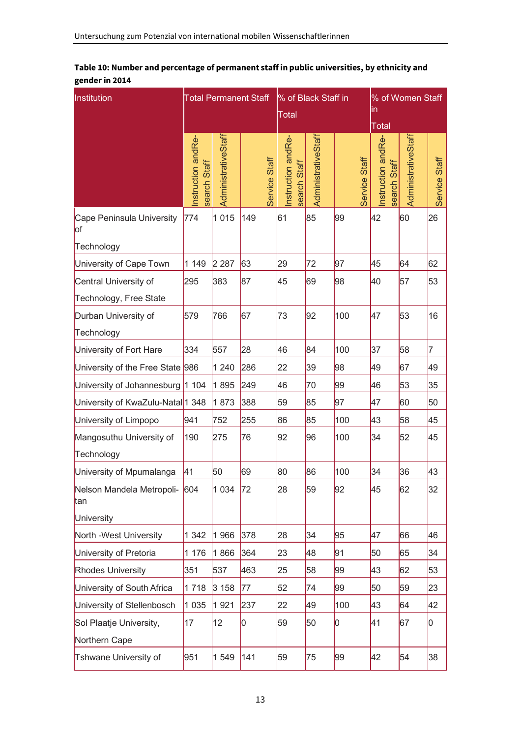| Institution                                        | <b>Total Permanent Staff</b>          |                     |               | % of Black Staff in<br>Total      |                     |               | % of Women Staff<br>lin                            |                     |               |
|----------------------------------------------------|---------------------------------------|---------------------|---------------|-----------------------------------|---------------------|---------------|----------------------------------------------------|---------------------|---------------|
|                                                    | Instruction andRe-<br>Staff<br>search | AdministrativeStaff | Service Staff | nstruction andRe-<br>search Staff | AdministrativeStaff | Service Staff | <b>Total</b><br>Instruction andRe-<br>search Staff | AdministrativeStaff | Service Staff |
| Cape Peninsula University<br>lof                   | 774                                   | 1 0 1 5             | 149           | 61                                | 85                  | 99            | 42                                                 | 60                  | 26            |
| Technology                                         |                                       |                     |               |                                   |                     |               |                                                    |                     |               |
| University of Cape Town                            | 1 1 4 9                               | 2 2 8 7             | 63            | 29                                | 72                  | 97            | 45                                                 | 64                  | 62            |
| Central University of<br>Technology, Free State    | 295                                   | 383                 | 87            | 45                                | 69                  | 98            | 40                                                 | 57                  | 53            |
| Durban University of<br>Technology                 | 579                                   | 766                 | 67            | 73                                | 92                  | 100           | 47                                                 | 53                  | 16            |
| University of Fort Hare                            | 334                                   | 557                 | 28            | 46                                | 84                  | 100           | 37                                                 | 58                  | 17            |
| University of the Free State 986                   |                                       | 1 2 4 0             | 286           | 22                                | 39                  | 98            | 49                                                 | 67                  | 49            |
| University of Johannesburg  1 104                  |                                       | 1895                | 249           | 46                                | 70                  | 99            | 46                                                 | 53                  | 35            |
| University of KwaZulu-Natal <sup>1</sup> 348       |                                       | 1873                | 388           | 59                                | 85                  | 97            | 47                                                 | 60                  | 50            |
| University of Limpopo                              | 941                                   | 752                 | 255           | 86                                | 85                  | 100           | 43                                                 | 58                  | 45            |
| Mangosuthu University of<br>Technology             | 190                                   | 275                 | 76            | 92                                | 96                  | 100           | 34                                                 | 52                  | 45            |
| University of Mpumalanga                           | 41                                    | 50                  | 69            | 80                                | 86                  | 100           | 34                                                 | 36                  | 43            |
| Nelson Mandela Metropoli- 604<br>tan<br>University |                                       | 1 0 3 4             | 72            | 28                                | 59                  | 92            | 45                                                 | 62                  | 32            |
| North -West University                             | 1 3 4 2                               | 1966                | 378           | 28                                | 34                  | 95            | 47                                                 | 66                  | 46            |
| University of Pretoria                             | 1 176                                 | 1866                | 364           | 23                                | 48                  | 91            | 50                                                 | 65                  | 34            |
| <b>Rhodes University</b>                           | 351                                   | 537                 | 463           | 25                                | 58                  | 99            | 43                                                 | 62                  | 53            |
| University of South Africa                         | 1718                                  | 3 1 5 8             | 77            | 52                                | 74                  | 99            | 50                                                 | 59                  | 23            |
| University of Stellenbosch                         | 1 0 3 5                               | 1921                | 237           | 22                                | 49                  | 100           | 43                                                 | 64                  | 42            |
| Sol Plaatje University,<br>Northern Cape           | 17                                    | 12                  | 0             | 59                                | 50                  | 0             | 41                                                 | 67                  | 10            |
| Tshwane University of                              | 951                                   | 1549                | 141           | 59                                | 75                  | 99            | 42                                                 | 54                  | 38            |

#### **Table 10: Number and percentage of permanent staff in public universities, by ethnicity and gender in 2014**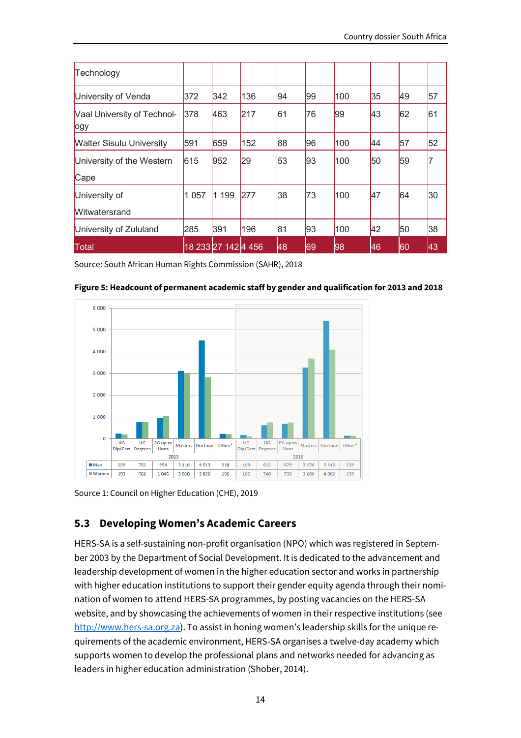| Technology                          |         |                     |     |    |    |     |    |    |    |
|-------------------------------------|---------|---------------------|-----|----|----|-----|----|----|----|
| University of Venda                 | 372     | 342                 | 136 | 94 | 99 | 100 | 35 | 49 | 57 |
| Vaal University of Technol-<br>logy | 378     | 463                 | 217 | 61 | 76 | 99  | 43 | 62 | 61 |
| <b>Walter Sisulu University</b>     | 591     | 659                 | 152 | 88 | 96 | 100 | 44 | 57 | 52 |
| University of the Western           | 615     | 952                 | 29  | 53 | 93 | 100 | 50 | 59 |    |
| Cape                                |         |                     |     |    |    |     |    |    |    |
| University of                       | 1 0 5 7 | 1 199               | 277 | 38 | 73 | 100 | 47 | 64 | 30 |
| <b>Witwatersrand</b>                |         |                     |     |    |    |     |    |    |    |
| University of Zululand              | 285     | 391                 | 196 | 81 | 93 | 100 | 42 | 50 | 38 |
| Total                               |         | 18 233 27 142 4 456 |     | 48 | 69 | 98  | 46 | 60 | 43 |

Source: South African Human Rights Commission (SAHR), 2018





Source 1: Council on Higher Education (CHE), 2019

## **5.3 Developing Women's Academic Careers**

HERS-SA is a self-sustaining non-profit organisation (NPO) which was registered in September 2003 by the Department of Social Development. It is dedicated to the advancement and leadership development of women in the higher education sector and works in partnership with higher education institutions to support their gender equity agenda through their nomination of women to attend HERS-SA programmes, by posting vacancies on the HERS-SA website, and by showcasing the achievements of women in their respective institutions (see http://www.hers-sa.org.za). To assist in honing women's leadership skills for the unique requirements of the academic environment, HERS-SA organises a twelve-day academy which supports women to develop the professional plans and networks needed for advancing as leaders in higher education administration (Shober, 2014).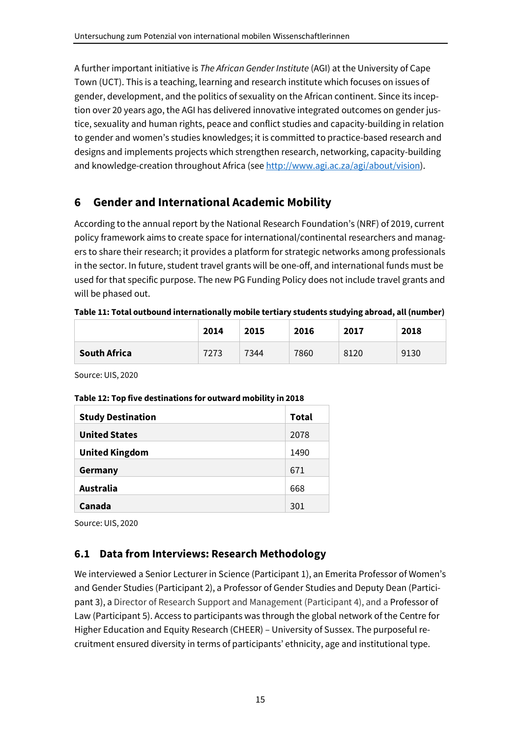A further important initiative is *The African Gender Institute* (AGI) at the University of Cape Town (UCT). This is a teaching, learning and research institute which focuses on issues of gender, development, and the politics of sexuality on the African continent. Since its inception over 20 years ago, the AGI has delivered innovative integrated outcomes on gender justice, sexuality and human rights, peace and conflict studies and capacity-building in relation to gender and women's studies knowledges; it is committed to practice-based research and designs and implements projects which strengthen research, networking, capacity-building and knowledge-creation throughout Africa (see http://www.agi.ac.za/agi/about/vision).

# **6 Gender and International Academic Mobility**

According to the annual report by the National Research Foundation's (NRF) of 2019, current policy framework aims to create space for international/continental researchers and managers to share their research; it provides a platform for strategic networks among professionals in the sector. In future, student travel grants will be one-off, and international funds must be used for that specific purpose. The new PG Funding Policy does not include travel grants and will be phased out.

#### **Table 11: Total outbound internationally mobile tertiary students studying abroad, all (number)**

|                     | 2014 | 2015 | 2016 | 2017 | 2018 |
|---------------------|------|------|------|------|------|
| <b>South Africa</b> | 7273 | 7344 | 7860 | 8120 | 9130 |

Source: UIS, 2020

#### **Table 12: Top five destinations for outward mobility in 2018**

| <b>Study Destination</b> | Total |
|--------------------------|-------|
| <b>United States</b>     | 2078  |
| <b>United Kingdom</b>    | 1490  |
| Germany                  | 671   |
| <b>Australia</b>         | 668   |
| Canada                   | 301   |

Source: UIS, 2020

## **6.1 Data from Interviews: Research Methodology**

We interviewed a Senior Lecturer in Science (Participant 1), an Emerita Professor of Women's and Gender Studies (Participant 2), a Professor of Gender Studies and Deputy Dean (Participant 3), a Director of Research Support and Management (Participant 4), and a Professor of Law (Participant 5). Access to participants was through the global network of the Centre for Higher Education and Equity Research (CHEER) – University of Sussex. The purposeful recruitment ensured diversity in terms of participants' ethnicity, age and institutional type.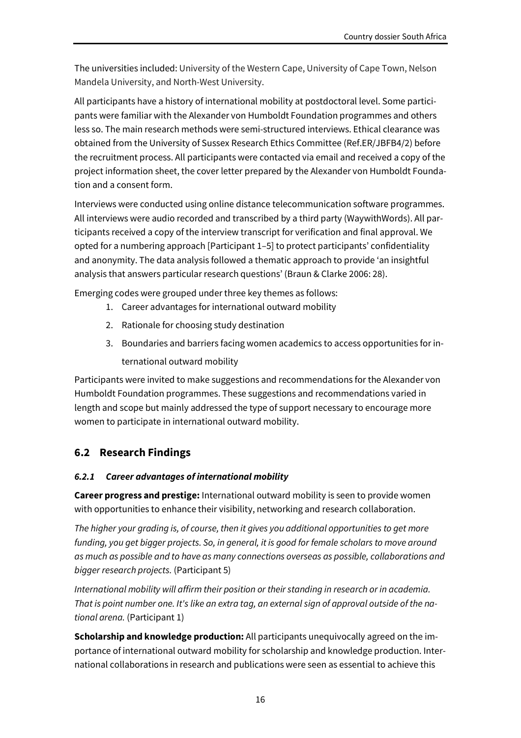The universities included: University of the Western Cape, University of Cape Town, Nelson Mandela University, and North-West University.

All participants have a history of international mobility at postdoctoral level. Some participants were familiar with the Alexander von Humboldt Foundation programmes and others less so. The main research methods were semi-structured interviews. Ethical clearance was obtained from the University of Sussex Research Ethics Committee (Ref.ER/JBFB4/2) before the recruitment process. All participants were contacted via email and received a copy of the project information sheet, the cover letter prepared by the Alexander von Humboldt Foundation and a consent form.

Interviews were conducted using online distance telecommunication software programmes. All interviews were audio recorded and transcribed by a third party (WaywithWords). All participants received a copy of the interview transcript for verification and final approval. We opted for a numbering approach [Participant 1–5] to protect participants' confidentiality and anonymity. The data analysis followed a thematic approach to provide 'an insightful analysis that answers particular research questions' (Braun & Clarke 2006: 28).

Emerging codes were grouped under three key themes as follows:

- 1. Career advantages for international outward mobility
- 2. Rationale for choosing study destination
- 3. Boundaries and barriers facing women academics to access opportunities for international outward mobility

Participants were invited to make suggestions and recommendations for the Alexander von Humboldt Foundation programmes. These suggestions and recommendations varied in length and scope but mainly addressed the type of support necessary to encourage more women to participate in international outward mobility.

# **6.2 Research Findings**

### *6.2.1 Career advantages of international mobility*

**Career progress and prestige:** International outward mobility is seen to provide women with opportunities to enhance their visibility, networking and research collaboration.

*The higher your grading is, of course, then it gives you additional opportunities to get more funding, you get bigger projects. So, in general, it is good for female scholars to move around as much as possible and to have as many connections overseas as possible, collaborations and bigger research projects.* (Participant 5)

*International mobility will affirm their position or their standing in research or in academia. That is point number one. It's like an extra tag, an external sign of approval outside of the national arena.* (Participant 1)

**Scholarship and knowledge production:** All participants unequivocally agreed on the importance of international outward mobility for scholarship and knowledge production. International collaborations in research and publications were seen as essential to achieve this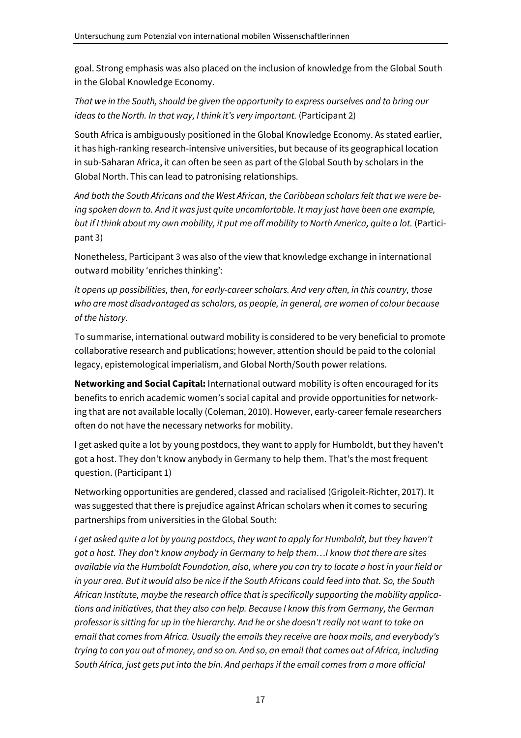goal. Strong emphasis was also placed on the inclusion of knowledge from the Global South in the Global Knowledge Economy.

*That we in the South, should be given the opportunity to express ourselves and to bring our ideas to the North. In that way, I think it's very important.* (Participant 2)

South Africa is ambiguously positioned in the Global Knowledge Economy. As stated earlier, it has high-ranking research-intensive universities, but because of its geographical location in sub-Saharan Africa, it can often be seen as part of the Global South by scholars in the Global North. This can lead to patronising relationships.

*And both the South Africans and the West African, the Caribbean scholars felt that we were being spoken down to. And it was just quite uncomfortable. It may just have been one example, but if I think about my own mobility, it put me off mobility to North America, quite a lot.* (Participant 3)

Nonetheless, Participant 3 was also of the view that knowledge exchange in international outward mobility 'enriches thinking':

*It opens up possibilities, then, for early-career scholars. And very often, in this country, those who are most disadvantaged as scholars, as people, in general, are women of colour because of the history.* 

To summarise, international outward mobility is considered to be very beneficial to promote collaborative research and publications; however, attention should be paid to the colonial legacy, epistemological imperialism, and Global North/South power relations.

**Networking and Social Capital:** International outward mobility is often encouraged for its benefits to enrich academic women's social capital and provide opportunities for networking that are not available locally (Coleman, 2010). However, early-career female researchers often do not have the necessary networks for mobility.

I get asked quite a lot by young postdocs, they want to apply for Humboldt, but they haven't got a host. They don't know anybody in Germany to help them. That's the most frequent question. (Participant 1)

Networking opportunities are gendered, classed and racialised (Grigoleit-Richter, 2017). It was suggested that there is prejudice against African scholars when it comes to securing partnerships from universities in the Global South:

*I get asked quite a lot by young postdocs, they want to apply for Humboldt, but they haven't got a host. They don't know anybody in Germany to help them…I know that there are sites available via the Humboldt Foundation, also, where you can try to locate a host in your field or in your area. But it would also be nice if the South Africans could feed into that. So, the South African Institute, maybe the research office that is specifically supporting the mobility applications and initiatives, that they also can help. Because I know this from Germany, the German professor is sitting far up in the hierarchy. And he or she doesn't really not want to take an email that comes from Africa. Usually the emails they receive are hoax mails, and everybody's trying to con you out of money, and so on. And so, an email that comes out of Africa, including South Africa, just gets put into the bin. And perhaps if the email comes from a more official*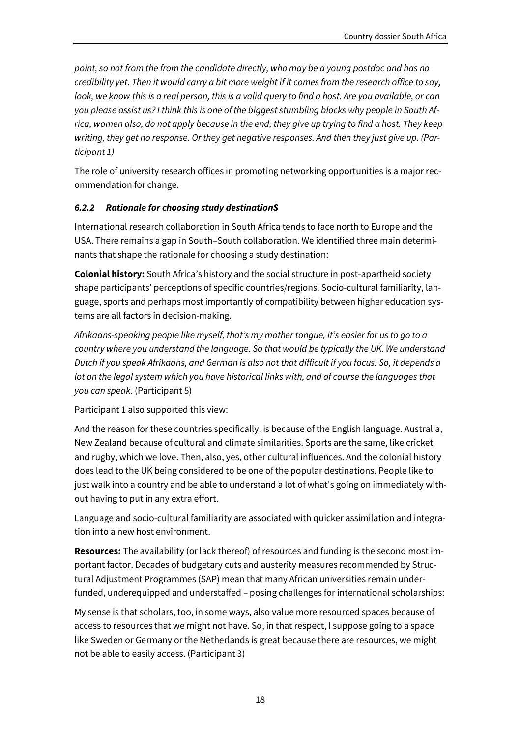*point, so not from the from the candidate directly, who may be a young postdoc and has no credibility yet. Then it would carry a bit more weight if it comes from the research office to say, look, we know this is a real person, this is a valid query to find a host. Are you available, or can you please assist us? I think this is one of the biggest stumbling blocks why people in South Africa, women also, do not apply because in the end, they give up trying to find a host. They keep writing, they get no response. Or they get negative responses. And then they just give up. (Participant 1)* 

The role of university research offices in promoting networking opportunities is a major recommendation for change.

## *6.2.2 Rationale for choosing study destinationS*

International research collaboration in South Africa tends to face north to Europe and the USA. There remains a gap in South–South collaboration. We identified three main determinants that shape the rationale for choosing a study destination:

**Colonial history:** South Africa's history and the social structure in post-apartheid society shape participants' perceptions of specific countries/regions. Socio-cultural familiarity, language, sports and perhaps most importantly of compatibility between higher education systems are all factors in decision-making.

*Afrikaans-speaking people like myself, that's my mother tongue, it's easier for us to go to a country where you understand the language. So that would be typically the UK. We understand Dutch if you speak Afrikaans, and German is also not that difficult if you focus. So, it depends a lot on the legal system which you have historical links with, and of course the languages that you can speak.* (Participant 5)

Participant 1 also supported this view:

And the reason for these countries specifically, is because of the English language. Australia, New Zealand because of cultural and climate similarities. Sports are the same, like cricket and rugby, which we love. Then, also, yes, other cultural influences. And the colonial history does lead to the UK being considered to be one of the popular destinations. People like to just walk into a country and be able to understand a lot of what's going on immediately without having to put in any extra effort.

Language and socio-cultural familiarity are associated with quicker assimilation and integration into a new host environment.

**Resources:** The availability (or lack thereof) of resources and funding is the second most important factor. Decades of budgetary cuts and austerity measures recommended by Structural Adjustment Programmes (SAP) mean that many African universities remain underfunded, underequipped and understaffed – posing challenges for international scholarships:

My sense is that scholars, too, in some ways, also value more resourced spaces because of access to resources that we might not have. So, in that respect, I suppose going to a space like Sweden or Germany or the Netherlands is great because there are resources, we might not be able to easily access. (Participant 3)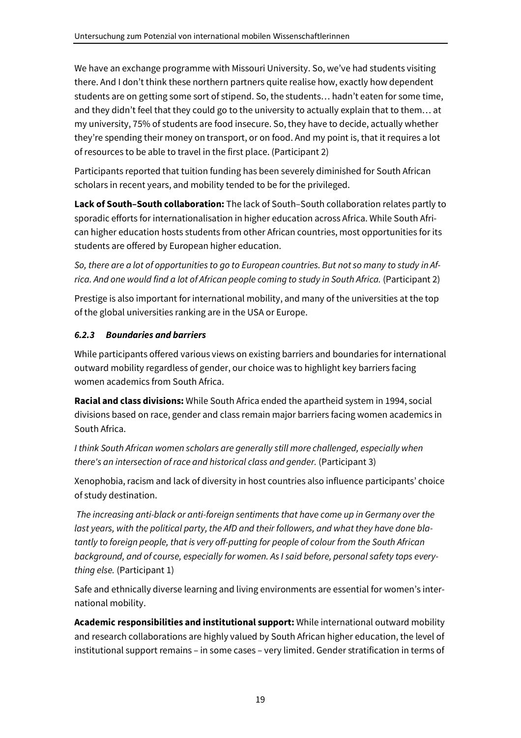We have an exchange programme with Missouri University. So, we've had students visiting there. And I don't think these northern partners quite realise how, exactly how dependent students are on getting some sort of stipend. So, the students… hadn't eaten for some time, and they didn't feel that they could go to the university to actually explain that to them… at my university, 75% of students are food insecure. So, they have to decide, actually whether they're spending their money on transport, or on food. And my point is, that it requires a lot of resources to be able to travel in the first place. (Participant 2)

Participants reported that tuition funding has been severely diminished for South African scholars in recent years, and mobility tended to be for the privileged.

**Lack of South–South collaboration:** The lack of South–South collaboration relates partly to sporadic efforts for internationalisation in higher education across Africa. While South African higher education hosts students from other African countries, most opportunities for its students are offered by European higher education.

*So, there are a lot of opportunities to go to European countries. But not so many to study in Africa. And one would find a lot of African people coming to study in South Africa.* (Participant 2)

Prestige is also important for international mobility, and many of the universities at the top of the global universities ranking are in the USA or Europe.

## *6.2.3 Boundaries and barriers*

While participants offered various views on existing barriers and boundaries for international outward mobility regardless of gender, our choice was to highlight key barriers facing women academics from South Africa.

**Racial and class divisions:** While South Africa ended the apartheid system in 1994, social divisions based on race, gender and class remain major barriers facing women academics in South Africa.

*I think South African women scholars are generally still more challenged, especially when there's an intersection of race and historical class and gender.* (Participant 3)

Xenophobia, racism and lack of diversity in host countries also influence participants' choice of study destination.

 *The increasing anti-black or anti-foreign sentiments that have come up in Germany over the last years, with the political party, the AfD and their followers, and what they have done blatantly to foreign people, that is very off-putting for people of colour from the South African background, and of course, especially for women. As I said before, personal safety tops everything else.* (Participant 1)

Safe and ethnically diverse learning and living environments are essential for women's international mobility.

**Academic responsibilities and institutional support:** While international outward mobility and research collaborations are highly valued by South African higher education, the level of institutional support remains – in some cases – very limited. Gender stratification in terms of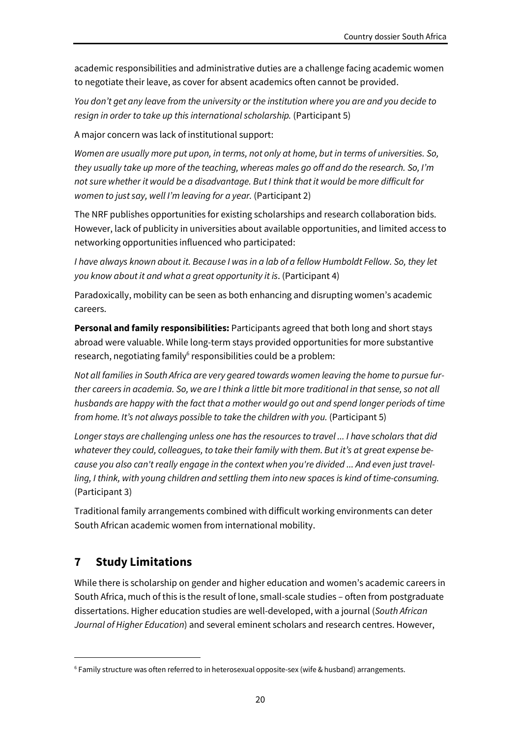academic responsibilities and administrative duties are a challenge facing academic women to negotiate their leave, as cover for absent academics often cannot be provided.

*You don't get any leave from the university or the institution where you are and you decide to resign in order to take up this international scholarship.* (Participant 5)

A major concern was lack of institutional support:

*Women are usually more put upon, in terms, not only at home, but in terms of universities. So, they usually take up more of the teaching, whereas males go off and do the research. So, I'm not sure whether it would be a disadvantage. But I think that it would be more difficult for women to just say, well I'm leaving for a year.* (Participant 2)

The NRF publishes opportunities for existing scholarships and research collaboration bids. However, lack of publicity in universities about available opportunities, and limited access to networking opportunities influenced who participated:

*I have always known about it. Because I was in a lab of a fellow Humboldt Fellow. So, they let you know about it and what a great opportunity it is*. (Participant 4)

Paradoxically, mobility can be seen as both enhancing and disrupting women's academic careers.

**Personal and family responsibilities:** Participants agreed that both long and short stays abroad were valuable. While long-term stays provided opportunities for more substantive research, negotiating family<sup>6</sup> responsibilities could be a problem:

*Not all families in South Africa are very geared towards women leaving the home to pursue further careers in academia. So, we are I think a little bit more traditional in that sense, so not all husbands are happy with the fact that a mother would go out and spend longer periods of time from home. It's not always possible to take the children with you.* (Participant 5)

*Longer stays are challenging unless one has the resources to travel ... I have scholars that did whatever they could, colleagues, to take their family with them. But it's at great expense because you also can't really engage in the context when you're divided ... And even just travelling, I think, with young children and settling them into new spaces is kind of time-consuming.* (Participant 3)

Traditional family arrangements combined with difficult working environments can deter South African academic women from international mobility.

# **7 Study Limitations**

While there is scholarship on gender and higher education and women's academic careers in South Africa, much of this is the result of lone, small-scale studies – often from postgraduate dissertations. Higher education studies are well-developed, with a journal (*South African Journal of Higher Education*) and several eminent scholars and research centres. However,

<sup>6</sup> Family structure was often referred to in heterosexual opposite-sex (wife & husband) arrangements.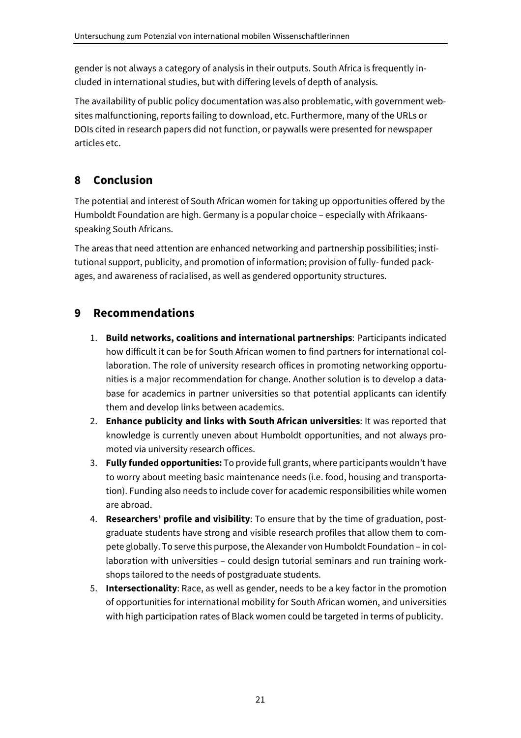gender is not always a category of analysis in their outputs. South Africa is frequently included in international studies, but with differing levels of depth of analysis.

The availability of public policy documentation was also problematic, with government websites malfunctioning, reports failing to download, etc. Furthermore, many of the URLs or DOIs cited in research papers did not function, or paywalls were presented for newspaper articles etc.

# **8 Conclusion**

The potential and interest of South African women for taking up opportunities offered by the Humboldt Foundation are high. Germany is a popular choice – especially with Afrikaansspeaking South Africans.

The areas that need attention are enhanced networking and partnership possibilities; institutional support, publicity, and promotion of information; provision of fully- funded packages, and awareness of racialised, as well as gendered opportunity structures.

# **9 Recommendations**

- 1. **Build networks, coalitions and international partnerships**: Participants indicated how difficult it can be for South African women to find partners for international collaboration. The role of university research offices in promoting networking opportunities is a major recommendation for change. Another solution is to develop a database for academics in partner universities so that potential applicants can identify them and develop links between academics.
- 2. **Enhance publicity and links with South African universities**: It was reported that knowledge is currently uneven about Humboldt opportunities, and not always promoted via university research offices.
- 3. **Fully funded opportunities:** To provide full grants, where participants wouldn't have to worry about meeting basic maintenance needs (i.e. food, housing and transportation). Funding also needs to include cover for academic responsibilities while women are abroad.
- 4. **Researchers' profile and visibility**: To ensure that by the time of graduation, postgraduate students have strong and visible research profiles that allow them to compete globally. To serve this purpose, the Alexander von Humboldt Foundation – in collaboration with universities – could design tutorial seminars and run training workshops tailored to the needs of postgraduate students.
- 5. **Intersectionality**: Race, as well as gender, needs to be a key factor in the promotion of opportunities for international mobility for South African women, and universities with high participation rates of Black women could be targeted in terms of publicity.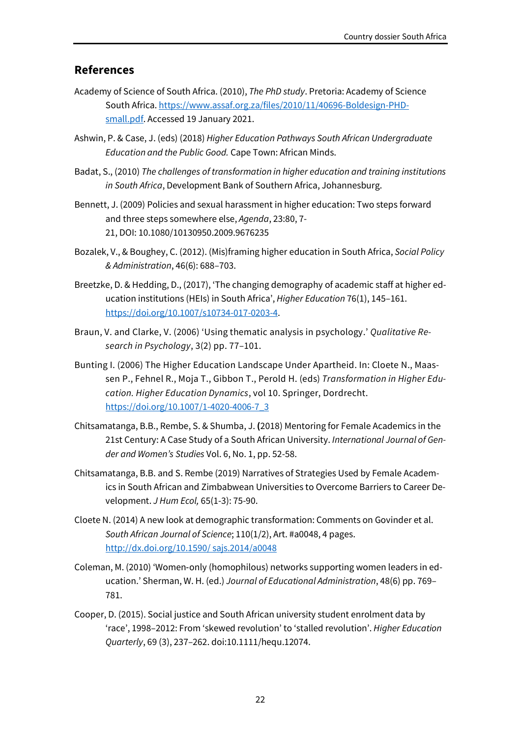### **References**

- Academy of Science of South Africa. (2010), *The PhD study*. Pretoria: Academy of Science South Africa. https://www.assaf.org.za/files/2010/11/40696-Boldesign-PHDsmall.pdf. Accessed 19 January 2021.
- Ashwin, P. & Case, J. (eds) (2018) *Higher Education Pathways South African Undergraduate Education and the Public Good.* Cape Town: African Minds.
- Badat, S., (2010) *The challenges of transformation in higher education and training institutions in South Africa*, Development Bank of Southern Africa, Johannesburg.
- Bennett, J. (2009) Policies and sexual harassment in higher education: Two steps forward and three steps somewhere else, *Agenda*, 23:80, 7- 21, DOI: 10.1080/10130950.2009.9676235
- Bozalek, V., & Boughey, C. (2012). (Mis)framing higher education in South Africa, *Social Policy & Administration*, 46(6): 688–703.
- Breetzke, D. & Hedding, D., (2017), 'The changing demography of academic staff at higher education institutions (HEIs) in South Africa', *Higher Education* 76(1), 145–161. https://doi.org/10.1007/s10734-017-0203-4.
- Braun, V. and Clarke, V. (2006) 'Using thematic analysis in psychology.' *Qualitative Research in Psychology*, 3(2) pp. 77–101.
- Bunting I. (2006) The Higher Education Landscape Under Apartheid. In: Cloete N., Maassen P., Fehnel R., Moja T., Gibbon T., Perold H. (eds) *Transformation in Higher Education. Higher Education Dynamics*, vol 10. Springer, Dordrecht. https://doi.org/10.1007/1-4020-4006-7\_3
- Chitsamatanga, B.B., Rembe, S. & Shumba, J. **(**2018) Mentoring for Female Academics in the 21st Century: A Case Study of a South African University. *International Journal of Gender and Women's Studies* Vol. 6, No. 1, pp. 52-58.
- Chitsamatanga, B.B. and S. Rembe (2019) Narratives of Strategies Used by Female Academics in South African and Zimbabwean Universities to Overcome Barriers to Career Development. *J Hum Ecol,* 65(1-3): 75-90.
- Cloete N. (2014) A new look at demographic transformation: Comments on Govinder et al. *South African Journal of Science*; 110(1/2), Art. #a0048, 4 pages. http://dx.doi.org/10.1590/ sajs.2014/a0048
- Coleman, M. (2010) 'Women‐only (homophilous) networks supporting women leaders in education.' Sherman, W. H. (ed.) *Journal of Educational Administration*, 48(6) pp. 769– 781.
- Cooper, D. (2015). Social justice and South African university student enrolment data by 'race', 1998–2012: From 'skewed revolution' to 'stalled revolution'. *Higher Education Quarterly*, 69 (3), 237–262. doi:10.1111/hequ.12074.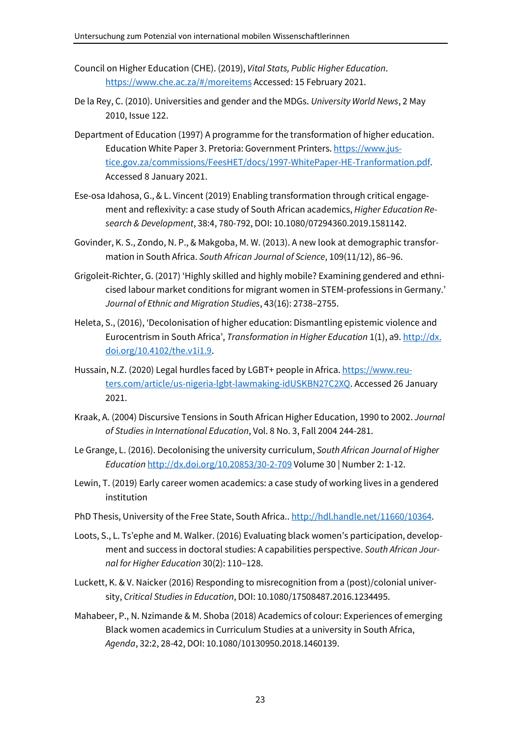- Council on Higher Education (CHE). (2019), *Vital Stats, Public Higher Education*. https://www.che.ac.za/#/moreitems Accessed: 15 February 2021.
- De la Rey, C. (2010). Universities and gender and the MDGs. *University World News*, 2 May 2010, Issue 122.
- Department of Education (1997) A programme for the transformation of higher education. Education White Paper 3. Pretoria: Government Printers. https://www.justice.gov.za/commissions/FeesHET/docs/1997-WhitePaper-HE-Tranformation.pdf. Accessed 8 January 2021.
- Ese-osa Idahosa, G., & L. Vincent (2019) Enabling transformation through critical engagement and reflexivity: a case study of South African academics, *Higher Education Research & Development*, 38:4, 780-792, DOI: 10.1080/07294360.2019.1581142.
- Govinder, K. S., Zondo, N. P., & Makgoba, M. W. (2013). A new look at demographic transformation in South Africa. *South African Journal of Science*, 109(11/12), 86–96.
- Grigoleit-Richter, G. (2017) 'Highly skilled and highly mobile? Examining gendered and ethnicised labour market conditions for migrant women in STEM-professions in Germany.' *Journal of Ethnic and Migration Studies*, 43(16): 2738–2755.
- Heleta, S., (2016), 'Decolonisation of higher education: Dismantling epistemic violence and Eurocentrism in South Africa', *Transformation in Higher Education* 1(1), a9. http://dx. doi.org/10.4102/the.v1i1.9.
- Hussain, N.Z. (2020) Legal hurdles faced by LGBT+ people in Africa. https://www.reuters.com/article/us-nigeria-lgbt-lawmaking-idUSKBN27C2XQ. Accessed 26 January 2021.
- Kraak, A. (2004) Discursive Tensions in South African Higher Education, 1990 to 2002. *Journal of Studies in International Education*, Vol. 8 No. 3, Fall 2004 244-281.
- Le Grange, L. (2016). Decolonising the university curriculum, *South African Journal of Higher Education* http://dx.doi.org/10.20853/30-2-709 Volume 30 | Number 2: 1-12.
- Lewin, T. (2019) Early career women academics: a case study of working lives in a gendered institution
- PhD Thesis, University of the Free State, South Africa.. http://hdl.handle.net/11660/10364.
- Loots, S., L. Ts'ephe and M. Walker. (2016) Evaluating black women's participation, development and success in doctoral studies: A capabilities perspective. *South African Journal for Higher Education* 30(2): 110–128.
- Luckett, K. & V. Naicker (2016) Responding to misrecognition from a (post)/colonial university, *Critical Studies in Education*, DOI: 10.1080/17508487.2016.1234495.
- Mahabeer, P., N. Nzimande & M. Shoba (2018) Academics of colour: Experiences of emerging Black women academics in Curriculum Studies at a university in South Africa, *Agenda*, 32:2, 28-42, DOI: 10.1080/10130950.2018.1460139.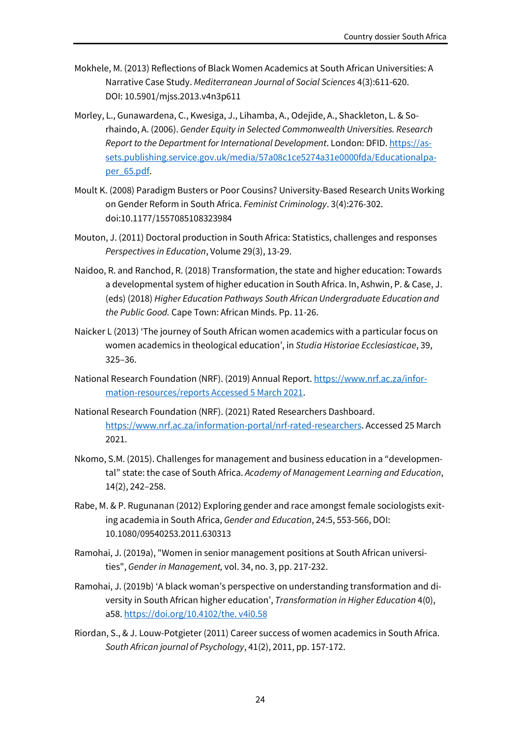- Mokhele, M. (2013) Reflections of Black Women Academics at South African Universities: A Narrative Case Study. *Mediterranean Journal of Social Sciences* 4(3):611-620. DOI: 10.5901/mjss.2013.v4n3p611
- Morley, L., Gunawardena, C., Kwesiga, J., Lihamba, A., Odejide, A., Shackleton, L. & Sorhaindo, A. (2006). *Gender Equity in Selected Commonwealth Universities. Research Report to the Department for International Development*. London: DFID. https://assets.publishing.service.gov.uk/media/57a08c1ce5274a31e0000fda/Educationalpaper\_65.pdf.
- Moult K. (2008) Paradigm Busters or Poor Cousins? University-Based Research Units Working on Gender Reform in South Africa. *Feminist Criminology*. 3(4):276-302. doi:10.1177/1557085108323984
- Mouton, J. (2011) Doctoral production in South Africa: Statistics, challenges and responses *Perspectives in Education*, Volume 29(3), 13-29.
- Naidoo, R. and Ranchod, R. (2018) Transformation, the state and higher education: Towards a developmental system of higher education in South Africa. In, Ashwin, P. & Case, J. (eds) (2018) *Higher Education Pathways South African Undergraduate Education and the Public Good.* Cape Town: African Minds. Pp. 11-26.
- Naicker L (2013) 'The journey of South African women academics with a particular focus on women academics in theological education', in *Studia Historiae Ecclesiasticae*, 39, 325–36.
- National Research Foundation (NRF). (2019) Annual Report. https://www.nrf.ac.za/information-resources/reports Accessed 5 March 2021.
- National Research Foundation (NRF). (2021) Rated Researchers Dashboard. https://www.nrf.ac.za/information-portal/nrf-rated-researchers. Accessed 25 March 2021.
- Nkomo, S.M. (2015). Challenges for management and business education in a "developmental" state: the case of South Africa. *Academy of Management Learning and Education*, 14(2), 242–258.
- Rabe, M. & P. Rugunanan (2012) Exploring gender and race amongst female sociologists exiting academia in South Africa, *Gender and Education*, 24:5, 553-566, DOI: 10.1080/09540253.2011.630313
- Ramohai, J. (2019a), "Women in senior management positions at South African universities", *Gender in Management,* vol. 34, no. 3, pp. 217-232.
- Ramohai, J. (2019b) 'A black woman's perspective on understanding transformation and diversity in South African higher education', *Transformation in Higher Education* 4(0), a58. https://doi.org/10.4102/the. v4i0.58
- Riordan, S., & J. Louw-Potgieter (2011) Career success of women academics in South Africa. *South African journal of Psychology*, 41(2), 2011, pp. 157-172.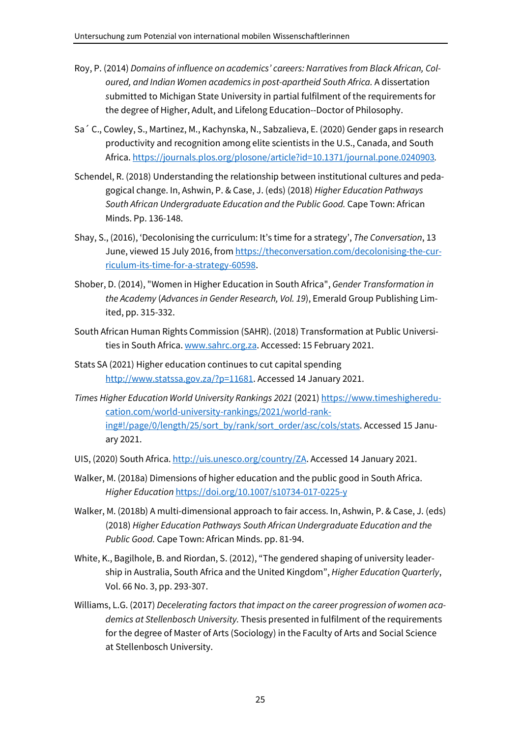- Roy, P. (2014) *Domains of influence on academics' careers: Narratives from Black African, Coloured, and Indian Women academics in post-apartheid South Africa.* A dissertation *s*ubmitted to Michigan State University in partial fulfilment of the requirements for the degree of Higher, Adult, and Lifelong Education--Doctor of Philosophy.
- Sa´ C., Cowley, S., Martinez, M., Kachynska, N., Sabzalieva, E. (2020) Gender gaps in research productivity and recognition among elite scientists in the U.S., Canada, and South Africa. https://journals.plos.org/plosone/article?id=10.1371/journal.pone.0240903*.*
- Schendel, R. (2018) Understanding the relationship between institutional cultures and pedagogical change. In, Ashwin, P. & Case, J. (eds) (2018) *Higher Education Pathways South African Undergraduate Education and the Public Good.* Cape Town: African Minds. Pp. 136-148.
- Shay, S., (2016), 'Decolonising the curriculum: It's time for a strategy', *The Conversation*, 13 June, viewed 15 July 2016, from https://theconversation.com/decolonising-the-curriculum-its-time-for-a-strategy-60598.
- Shober, D. (2014), "Women in Higher Education in South Africa", *Gender Transformation in the Academy* (*Advances in Gender Research, Vol. 19*), Emerald Group Publishing Limited, pp. 315-332.
- South African Human Rights Commission (SAHR). (2018) Transformation at Public Universities in South Africa. www.sahrc.org.za. Accessed: 15 February 2021.
- Stats SA (2021) Higher education continues to cut capital spending http://www.statssa.gov.za/?p=11681</u>. Accessed 14 January 2021.
- *Times Higher Education World University Rankings 2021* (2021) https://www.timeshighereducation.com/world-university-rankings/2021/world-ranking#!/page/0/length/25/sort\_by/rank/sort\_order/asc/cols/stats. Accessed 15 January 2021.
- UIS, (2020) South Africa. http://uis.unesco.org/country/ZA. Accessed 14 January 2021.
- Walker, M. (2018a) Dimensions of higher education and the public good in South Africa. *Higher Education* https://doi.org/10.1007/s10734-017-0225-y
- Walker, M. (2018b) A multi-dimensional approach to fair access. In, Ashwin, P. & Case, J. (eds) (2018) *Higher Education Pathways South African Undergraduate Education and the Public Good.* Cape Town: African Minds. pp. 81-94.
- White, K., Bagilhole, B. and Riordan, S. (2012), "The gendered shaping of university leadership in Australia, South Africa and the United Kingdom", *Higher Education Quarterly*, Vol. 66 No. 3, pp. 293-307.
- Williams, L.G. (2017) *Decelerating factors that impact on the career progression of women academics at Stellenbosch University.* Thesis presented in fulfilment of the requirements for the degree of Master of Arts (Sociology) in the Faculty of Arts and Social Science at Stellenbosch University.